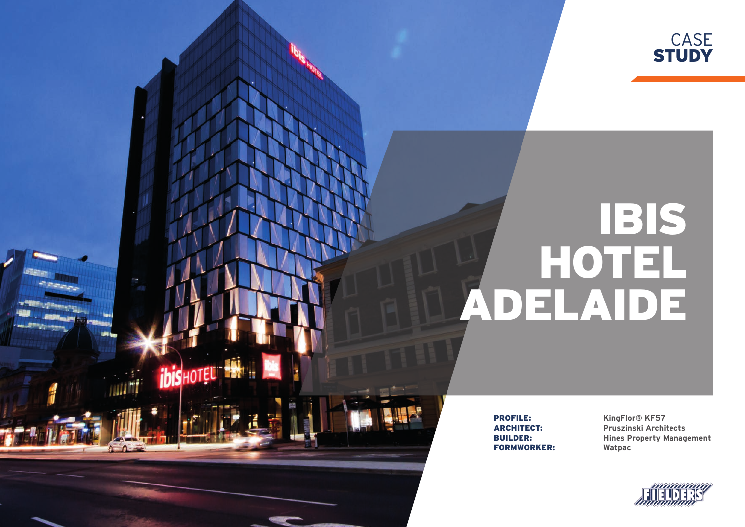

# IBIS HOTEL ADELAIDE

FORMWORKER: **Watpac**

**ibis** HOTEL

**PROFILE: KingFlor® KF57**<br> **ARCHITECT:** Pruszinski Archit ARCHITECT: **Pruszinski Architects** BUILDER: **Hines Property Management**